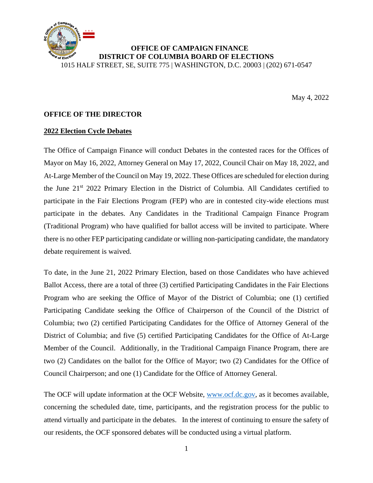

# **OFFICE OF CAMPAIGN FINANCE DISTRICT OF COLUMBIA BOARD OF ELECTIONS**

1015 HALF STREET, SE, SUITE 775 | WASHINGTON, D.C. 20003 | (202) 671-0547

May 4, 2022

#### **OFFICE OF THE DIRECTOR**

#### **2022 Election Cycle Debates**

The Office of Campaign Finance will conduct Debates in the contested races for the Offices of Mayor on May 16, 2022, Attorney General on May 17, 2022, Council Chair on May 18, 2022, and At-Large Member of the Council on May 19, 2022. These Offices are scheduled for election during the June 21st 2022 Primary Election in the District of Columbia. All Candidates certified to participate in the Fair Elections Program (FEP) who are in contested city-wide elections must participate in the debates. Any Candidates in the Traditional Campaign Finance Program (Traditional Program) who have qualified for ballot access will be invited to participate. Where there is no other FEP participating candidate or willing non-participating candidate, the mandatory debate requirement is waived.

To date, in the June 21, 2022 Primary Election, based on those Candidates who have achieved Ballot Access, there are a total of three (3) certified Participating Candidates in the Fair Elections Program who are seeking the Office of Mayor of the District of Columbia; one (1) certified Participating Candidate seeking the Office of Chairperson of the Council of the District of Columbia; two (2) certified Participating Candidates for the Office of Attorney General of the District of Columbia; and five (5) certified Participating Candidates for the Office of At-Large Member of the Council. Additionally, in the Traditional Campaign Finance Program, there are two (2) Candidates on the ballot for the Office of Mayor; two (2) Candidates for the Office of Council Chairperson; and one (1) Candidate for the Office of Attorney General.

The OCF will update information at the OCF Website, [www.ocf.dc.gov,](http://www.ocf.dc.gov/) as it becomes available, concerning the scheduled date, time, participants, and the registration process for the public to attend virtually and participate in the debates. In the interest of continuing to ensure the safety of our residents, the OCF sponsored debates will be conducted using a virtual platform.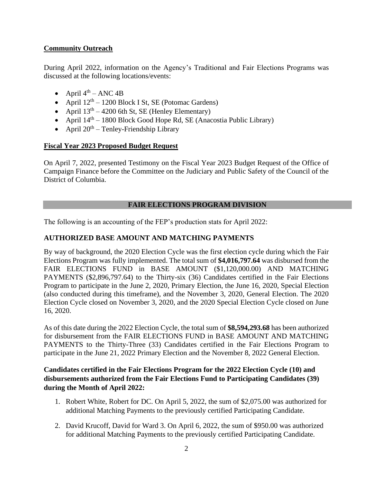# **Community Outreach**

During April 2022, information on the Agency's Traditional and Fair Elections Programs was discussed at the following locations/events:

- April  $4^{\text{th}}$  ANC 4B
- April  $12<sup>th</sup> 1200$  Block I St, SE (Potomac Gardens)
- April  $13<sup>th</sup> 4200$  6th St, SE (Henley Elementary)
- April  $14<sup>th</sup> 1800$  Block Good Hope Rd, SE (Anacostia Public Library)
- April  $20<sup>th</sup>$  Tenley-Friendship Library

# **Fiscal Year 2023 Proposed Budget Request**

On April 7, 2022, presented Testimony on the Fiscal Year 2023 Budget Request of the Office of Campaign Finance before the Committee on the Judiciary and Public Safety of the Council of the District of Columbia.

# **FAIR ELECTIONS PROGRAM DIVISION**

The following is an accounting of the FEP's production stats for April 2022:

# **AUTHORIZED BASE AMOUNT AND MATCHING PAYMENTS**

By way of background, the 2020 Election Cycle was the first election cycle during which the Fair Elections Program was fully implemented. The total sum of **\$4,016,797.64** was disbursed from the FAIR ELECTIONS FUND in BASE AMOUNT (\$1,120,000.00) AND MATCHING PAYMENTS (\$2,896,797.64) to the Thirty-six (36) Candidates certified in the Fair Elections Program to participate in the June 2, 2020, Primary Election, the June 16, 2020, Special Election (also conducted during this timeframe), and the November 3, 2020, General Election. The 2020 Election Cycle closed on November 3, 2020, and the 2020 Special Election Cycle closed on June 16, 2020.

As of this date during the 2022 Election Cycle, the total sum of **\$8,594,293.68** has been authorized for disbursement from the FAIR ELECTIONS FUND in BASE AMOUNT AND MATCHING PAYMENTS to the Thirty-Three (33) Candidates certified in the Fair Elections Program to participate in the June 21, 2022 Primary Election and the November 8, 2022 General Election.

## **Candidates certified in the Fair Elections Program for the 2022 Election Cycle (10) and disbursements authorized from the Fair Elections Fund to Participating Candidates (39) during the Month of April 2022:**

- 1. Robert White, Robert for DC. On April 5, 2022, the sum of \$2,075.00 was authorized for additional Matching Payments to the previously certified Participating Candidate.
- 2. David Krucoff, David for Ward 3. On April 6, 2022, the sum of \$950.00 was authorized for additional Matching Payments to the previously certified Participating Candidate.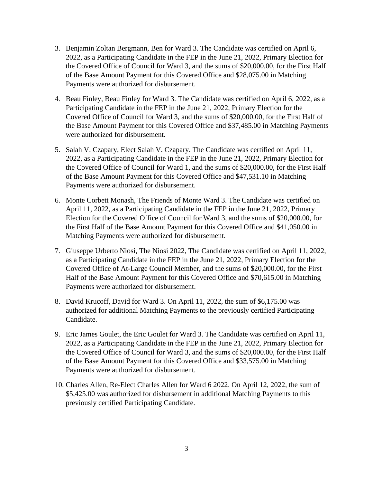- 3. Benjamin Zoltan Bergmann, Ben for Ward 3. The Candidate was certified on April 6, 2022, as a Participating Candidate in the FEP in the June 21, 2022, Primary Election for the Covered Office of Council for Ward 3, and the sums of \$20,000.00, for the First Half of the Base Amount Payment for this Covered Office and \$28,075.00 in Matching Payments were authorized for disbursement.
- 4. Beau Finley, Beau Finley for Ward 3. The Candidate was certified on April 6, 2022, as a Participating Candidate in the FEP in the June 21, 2022, Primary Election for the Covered Office of Council for Ward 3, and the sums of \$20,000.00, for the First Half of the Base Amount Payment for this Covered Office and \$37,485.00 in Matching Payments were authorized for disbursement.
- 5. Salah V. Czapary, Elect Salah V. Czapary. The Candidate was certified on April 11, 2022, as a Participating Candidate in the FEP in the June 21, 2022, Primary Election for the Covered Office of Council for Ward 1, and the sums of \$20,000.00, for the First Half of the Base Amount Payment for this Covered Office and \$47,531.10 in Matching Payments were authorized for disbursement.
- 6. Monte Corbett Monash, The Friends of Monte Ward 3. The Candidate was certified on April 11, 2022, as a Participating Candidate in the FEP in the June 21, 2022, Primary Election for the Covered Office of Council for Ward 3, and the sums of \$20,000.00, for the First Half of the Base Amount Payment for this Covered Office and \$41,050.00 in Matching Payments were authorized for disbursement.
- 7. Giuseppe Urberto Niosi, The Niosi 2022, The Candidate was certified on April 11, 2022, as a Participating Candidate in the FEP in the June 21, 2022, Primary Election for the Covered Office of At-Large Council Member, and the sums of \$20,000.00, for the First Half of the Base Amount Payment for this Covered Office and \$70,615.00 in Matching Payments were authorized for disbursement.
- 8. David Krucoff, David for Ward 3. On April 11, 2022, the sum of \$6,175.00 was authorized for additional Matching Payments to the previously certified Participating Candidate.
- 9. Eric James Goulet, the Eric Goulet for Ward 3. The Candidate was certified on April 11, 2022, as a Participating Candidate in the FEP in the June 21, 2022, Primary Election for the Covered Office of Council for Ward 3, and the sums of \$20,000.00, for the First Half of the Base Amount Payment for this Covered Office and \$33,575.00 in Matching Payments were authorized for disbursement.
- 10. Charles Allen, Re-Elect Charles Allen for Ward 6 2022. On April 12, 2022, the sum of \$5,425.00 was authorized for disbursement in additional Matching Payments to this previously certified Participating Candidate.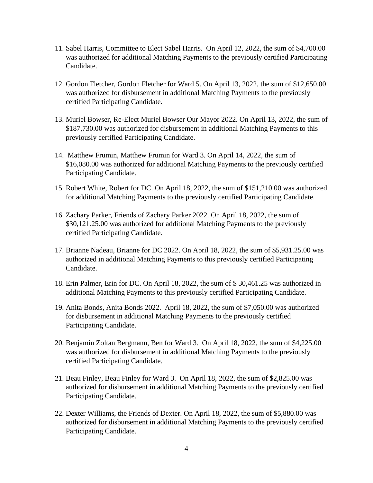- 11. Sabel Harris, Committee to Elect Sabel Harris. On April 12, 2022, the sum of \$4,700.00 was authorized for additional Matching Payments to the previously certified Participating Candidate.
- 12. Gordon Fletcher, Gordon Fletcher for Ward 5. On April 13, 2022, the sum of \$12,650.00 was authorized for disbursement in additional Matching Payments to the previously certified Participating Candidate.
- 13. Muriel Bowser, Re-Elect Muriel Bowser Our Mayor 2022. On April 13, 2022, the sum of \$187,730.00 was authorized for disbursement in additional Matching Payments to this previously certified Participating Candidate.
- 14. Matthew Frumin, Matthew Frumin for Ward 3. On April 14, 2022, the sum of \$16,080.00 was authorized for additional Matching Payments to the previously certified Participating Candidate.
- 15. Robert White, Robert for DC. On April 18, 2022, the sum of \$151,210.00 was authorized for additional Matching Payments to the previously certified Participating Candidate.
- 16. Zachary Parker, Friends of Zachary Parker 2022. On April 18, 2022, the sum of \$30,121.25.00 was authorized for additional Matching Payments to the previously certified Participating Candidate.
- 17. Brianne Nadeau, Brianne for DC 2022. On April 18, 2022, the sum of \$5,931.25.00 was authorized in additional Matching Payments to this previously certified Participating Candidate.
- 18. Erin Palmer, Erin for DC. On April 18, 2022, the sum of \$ 30,461.25 was authorized in additional Matching Payments to this previously certified Participating Candidate.
- 19. Anita Bonds, Anita Bonds 2022. April 18, 2022, the sum of \$7,050.00 was authorized for disbursement in additional Matching Payments to the previously certified Participating Candidate.
- 20. Benjamin Zoltan Bergmann, Ben for Ward 3. On April 18, 2022, the sum of \$4,225.00 was authorized for disbursement in additional Matching Payments to the previously certified Participating Candidate.
- 21. Beau Finley, Beau Finley for Ward 3. On April 18, 2022, the sum of \$2,825.00 was authorized for disbursement in additional Matching Payments to the previously certified Participating Candidate.
- 22. Dexter Williams, the Friends of Dexter. On April 18, 2022, the sum of \$5,880.00 was authorized for disbursement in additional Matching Payments to the previously certified Participating Candidate.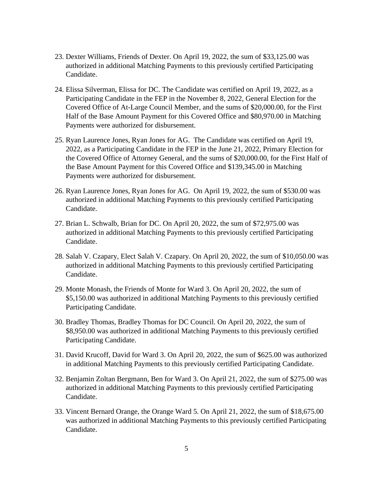- 23. Dexter Williams, Friends of Dexter. On April 19, 2022, the sum of \$33,125.00 was authorized in additional Matching Payments to this previously certified Participating Candidate.
- 24. Elissa Silverman, Elissa for DC. The Candidate was certified on April 19, 2022, as a Participating Candidate in the FEP in the November 8, 2022, General Election for the Covered Office of At-Large Council Member, and the sums of \$20,000.00, for the First Half of the Base Amount Payment for this Covered Office and \$80,970.00 in Matching Payments were authorized for disbursement.
- 25. Ryan Laurence Jones, Ryan Jones for AG. The Candidate was certified on April 19, 2022, as a Participating Candidate in the FEP in the June 21, 2022, Primary Election for the Covered Office of Attorney General, and the sums of \$20,000.00, for the First Half of the Base Amount Payment for this Covered Office and \$139,345.00 in Matching Payments were authorized for disbursement.
- 26. Ryan Laurence Jones, Ryan Jones for AG. On April 19, 2022, the sum of \$530.00 was authorized in additional Matching Payments to this previously certified Participating Candidate.
- 27. Brian L. Schwalb, Brian for DC. On April 20, 2022, the sum of \$72,975.00 was authorized in additional Matching Payments to this previously certified Participating Candidate.
- 28. Salah V. Czapary, Elect Salah V. Czapary. On April 20, 2022, the sum of \$10,050.00 was authorized in additional Matching Payments to this previously certified Participating Candidate.
- 29. Monte Monash, the Friends of Monte for Ward 3. On April 20, 2022, the sum of \$5,150.00 was authorized in additional Matching Payments to this previously certified Participating Candidate.
- 30. Bradley Thomas, Bradley Thomas for DC Council. On April 20, 2022, the sum of \$8,950.00 was authorized in additional Matching Payments to this previously certified Participating Candidate.
- 31. David Krucoff, David for Ward 3. On April 20, 2022, the sum of \$625.00 was authorized in additional Matching Payments to this previously certified Participating Candidate.
- 32. Benjamin Zoltan Bergmann, Ben for Ward 3. On April 21, 2022, the sum of \$275.00 was authorized in additional Matching Payments to this previously certified Participating Candidate.
- 33. Vincent Bernard Orange, the Orange Ward 5. On April 21, 2022, the sum of \$18,675.00 was authorized in additional Matching Payments to this previously certified Participating Candidate.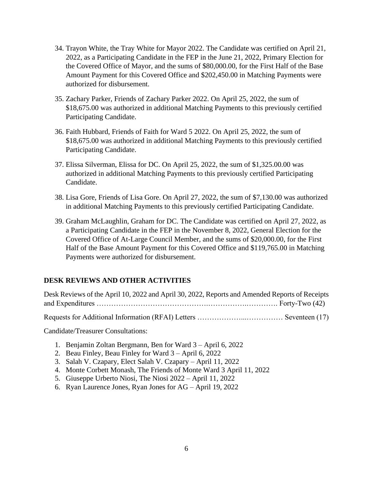- 34. Trayon White, the Tray White for Mayor 2022. The Candidate was certified on April 21, 2022, as a Participating Candidate in the FEP in the June 21, 2022, Primary Election for the Covered Office of Mayor, and the sums of \$80,000.00, for the First Half of the Base Amount Payment for this Covered Office and \$202,450.00 in Matching Payments were authorized for disbursement.
- 35. Zachary Parker, Friends of Zachary Parker 2022. On April 25, 2022, the sum of \$18,675.00 was authorized in additional Matching Payments to this previously certified Participating Candidate.
- 36. Faith Hubbard, Friends of Faith for Ward 5 2022. On April 25, 2022, the sum of \$18,675.00 was authorized in additional Matching Payments to this previously certified Participating Candidate.
- 37. Elissa Silverman, Elissa for DC. On April 25, 2022, the sum of \$1,325.00.00 was authorized in additional Matching Payments to this previously certified Participating Candidate.
- 38. Lisa Gore, Friends of Lisa Gore. On April 27, 2022, the sum of \$7,130.00 was authorized in additional Matching Payments to this previously certified Participating Candidate.
- 39. Graham McLaughlin, Graham for DC. The Candidate was certified on April 27, 2022, as a Participating Candidate in the FEP in the November 8, 2022, General Election for the Covered Office of At-Large Council Member, and the sums of \$20,000.00, for the First Half of the Base Amount Payment for this Covered Office and \$119,765.00 in Matching Payments were authorized for disbursement.

# **DESK REVIEWS AND OTHER ACTIVITIES**

| Desk Reviews of the April 10, 2022 and April 30, 2022, Reports and Amended Reports of Receipts |
|------------------------------------------------------------------------------------------------|
|                                                                                                |
|                                                                                                |

Candidate/Treasurer Consultations:

- 1. Benjamin Zoltan Bergmann, Ben for Ward 3 April 6, 2022
- 2. Beau Finley, Beau Finley for Ward 3 April 6, 2022
- 3. Salah V. Czapary, Elect Salah V. Czapary April 11, 2022
- 4. Monte Corbett Monash, The Friends of Monte Ward 3 April 11, 2022
- 5. Giuseppe Urberto Niosi, The Niosi 2022 April 11, 2022
- 6. Ryan Laurence Jones, Ryan Jones for AG April 19, 2022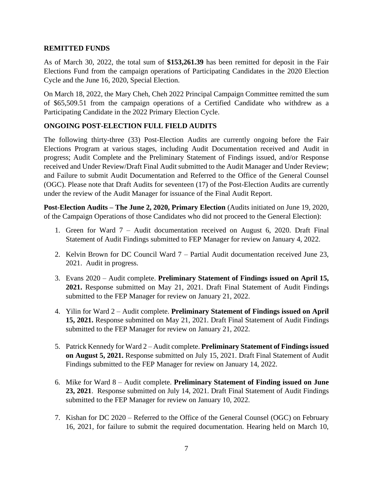## **REMITTED FUNDS**

As of March 30, 2022, the total sum of **\$153,261.39** has been remitted for deposit in the Fair Elections Fund from the campaign operations of Participating Candidates in the 2020 Election Cycle and the June 16, 2020, Special Election.

On March 18, 2022, the Mary Cheh, Cheh 2022 Principal Campaign Committee remitted the sum of \$65,509.51 from the campaign operations of a Certified Candidate who withdrew as a Participating Candidate in the 2022 Primary Election Cycle.

# **ONGOING POST-ELECTION FULL FIELD AUDITS**

The following thirty-three (33) Post-Election Audits are currently ongoing before the Fair Elections Program at various stages, including Audit Documentation received and Audit in progress; Audit Complete and the Preliminary Statement of Findings issued, and/or Response received and Under Review/Draft Final Audit submitted to the Audit Manager and Under Review; and Failure to submit Audit Documentation and Referred to the Office of the General Counsel (OGC). Please note that Draft Audits for seventeen (17) of the Post-Election Audits are currently under the review of the Audit Manager for issuance of the Final Audit Report.

**Post-Election Audits – The June 2, 2020, Primary Election** (Audits initiated on June 19, 2020, of the Campaign Operations of those Candidates who did not proceed to the General Election):

- 1. Green for Ward 7 Audit documentation received on August 6, 2020. Draft Final Statement of Audit Findings submitted to FEP Manager for review on January 4, 2022.
- 2. Kelvin Brown for DC Council Ward 7 Partial Audit documentation received June 23, 2021. Audit in progress.
- 3. Evans 2020 Audit complete. **Preliminary Statement of Findings issued on April 15, 2021.** Response submitted on May 21, 2021. Draft Final Statement of Audit Findings submitted to the FEP Manager for review on January 21, 2022.
- 4. Yilin for Ward 2 Audit complete. **Preliminary Statement of Findings issued on April 15, 2021.** Response submitted on May 21, 2021. Draft Final Statement of Audit Findings submitted to the FEP Manager for review on January 21, 2022.
- 5. Patrick Kennedy for Ward 2 Audit complete. **Preliminary Statement of Findings issued on August 5, 2021.** Response submitted on July 15, 2021. Draft Final Statement of Audit Findings submitted to the FEP Manager for review on January 14, 2022.
- 6. Mike for Ward 8 Audit complete. **Preliminary Statement of Finding issued on June 23, 2021**.Response submitted on July 14, 2021. Draft Final Statement of Audit Findings submitted to the FEP Manager for review on January 10, 2022.
- 7. Kishan for DC 2020 Referred to the Office of the General Counsel (OGC) on February 16, 2021, for failure to submit the required documentation. Hearing held on March 10,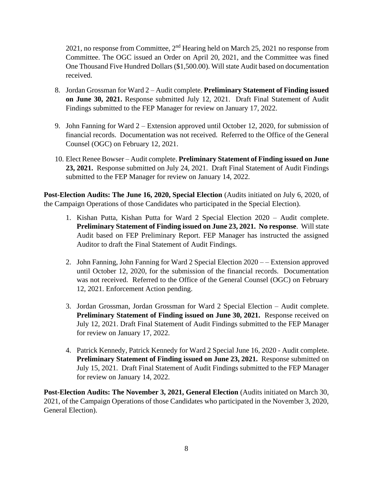2021, no response from Committee,  $2<sup>nd</sup>$  Hearing held on March 25, 2021 no response from Committee. The OGC issued an Order on April 20, 2021, and the Committee was fined One Thousand Five Hundred Dollars (\$1,500.00). Will state Audit based on documentation received.

- 8. Jordan Grossman for Ward 2 Audit complete. **Preliminary Statement of Finding issued on June 30, 2021.** Response submitted July 12, 2021. Draft Final Statement of Audit Findings submitted to the FEP Manager for review on January 17, 2022.
- 9. John Fanning for Ward 2 Extension approved until October 12, 2020, for submission of financial records. Documentation was not received. Referred to the Office of the General Counsel (OGC) on February 12, 2021.
- 10. Elect Renee Bowser Audit complete. **Preliminary Statement of Finding issued on June 23, 2021.** Response submitted on July 24, 2021. Draft Final Statement of Audit Findings submitted to the FEP Manager for review on January 14, 2022.

**Post-Election Audits: The June 16, 2020, Special Election** (Audits initiated on July 6, 2020, of the Campaign Operations of those Candidates who participated in the Special Election).

- 1. Kishan Putta, Kishan Putta for Ward 2 Special Election 2020 Audit complete. **Preliminary Statement of Finding issued on June 23, 2021. No response**. Will state Audit based on FEP Preliminary Report. FEP Manager has instructed the assigned Auditor to draft the Final Statement of Audit Findings.
- 2. John Fanning, John Fanning for Ward 2 Special Election 2020 – Extension approved until October 12, 2020, for the submission of the financial records. Documentation was not received. Referred to the Office of the General Counsel (OGC) on February 12, 2021. Enforcement Action pending.
- 3. Jordan Grossman, Jordan Grossman for Ward 2 Special Election Audit complete. **Preliminary Statement of Finding issued on June 30, 2021.** Response received on July 12, 2021. Draft Final Statement of Audit Findings submitted to the FEP Manager for review on January 17, 2022.
- 4. Patrick Kennedy, Patrick Kennedy for Ward 2 Special June 16, 2020 Audit complete. **Preliminary Statement of Finding issued on June 23, 2021.** Response submitted on July 15, 2021. Draft Final Statement of Audit Findings submitted to the FEP Manager for review on January 14, 2022.

**Post-Election Audits: The November 3, 2021, General Election** (Audits initiated on March 30, 2021, of the Campaign Operations of those Candidates who participated in the November 3, 2020, General Election).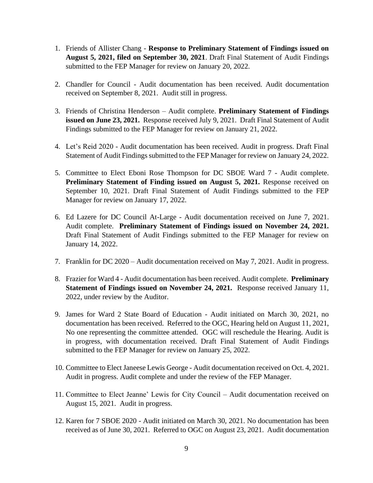- 1. Friends of Allister Chang **Response to Preliminary Statement of Findings issued on August 5, 2021, filed on September 30, 2021**. Draft Final Statement of Audit Findings submitted to the FEP Manager for review on January 20, 2022.
- 2. Chandler for Council Audit documentation has been received. Audit documentation received on September 8, 2021. Audit still in progress.
- 3. Friends of Christina Henderson Audit complete. **Preliminary Statement of Findings issued on June 23, 2021.** Response received July 9, 2021. Draft Final Statement of Audit Findings submitted to the FEP Manager for review on January 21, 2022.
- 4. Let's Reid 2020 Audit documentation has been received. Audit in progress. Draft Final Statement of Audit Findings submitted to the FEP Manager for review on January 24, 2022.
- 5. Committee to Elect Eboni Rose Thompson for DC SBOE Ward 7 Audit complete. **Preliminary Statement of Finding issued on August 5, 2021.** Response received on September 10, 2021. Draft Final Statement of Audit Findings submitted to the FEP Manager for review on January 17, 2022.
- 6. Ed Lazere for DC Council At-Large Audit documentation received on June 7, 2021. Audit complete. **Preliminary Statement of Findings issued on November 24, 2021.**  Draft Final Statement of Audit Findings submitted to the FEP Manager for review on January 14, 2022.
- 7. Franklin for DC 2020 Audit documentation received on May 7, 2021. Audit in progress.
- 8. Frazier for Ward 4 Audit documentation has been received. Audit complete. **Preliminary Statement of Findings issued on November 24, 2021.** Response received January 11, 2022, under review by the Auditor.
- 9. James for Ward 2 State Board of Education Audit initiated on March 30, 2021, no documentation has been received. Referred to the OGC, Hearing held on August 11, 2021, No one representing the committee attended. OGC will reschedule the Hearing. Audit is in progress, with documentation received. Draft Final Statement of Audit Findings submitted to the FEP Manager for review on January 25, 2022.
- 10. Committee to Elect Janeese Lewis George Audit documentation received on Oct. 4, 2021. Audit in progress. Audit complete and under the review of the FEP Manager.
- 11. Committee to Elect Jeanne' Lewis for City Council Audit documentation received on August 15, 2021. Audit in progress.
- 12. Karen for 7 SBOE 2020 Audit initiated on March 30, 2021. No documentation has been received as of June 30, 2021. Referred to OGC on August 23, 2021. Audit documentation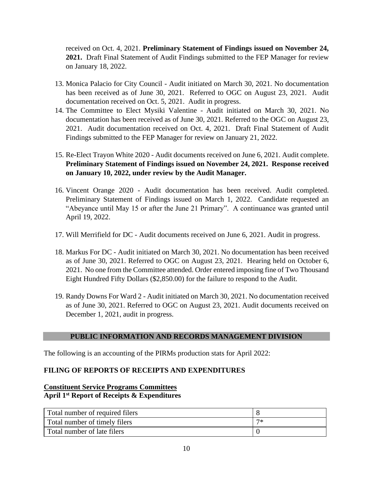received on Oct. 4, 2021. **Preliminary Statement of Findings issued on November 24, 2021.** Draft Final Statement of Audit Findings submitted to the FEP Manager for review on January 18, 2022.

- 13. Monica Palacio for City Council Audit initiated on March 30, 2021. No documentation has been received as of June 30, 2021. Referred to OGC on August 23, 2021. Audit documentation received on Oct. 5, 2021. Audit in progress.
- 14. The Committee to Elect Mysiki Valentine Audit initiated on March 30, 2021. No documentation has been received as of June 30, 2021. Referred to the OGC on August 23, 2021. Audit documentation received on Oct. 4, 2021. Draft Final Statement of Audit Findings submitted to the FEP Manager for review on January 21, 2022.
- 15. Re-Elect Trayon White 2020 Audit documents received on June 6, 2021. Audit complete. **Preliminary Statement of Findings issued on November 24, 2021. Response received on January 10, 2022, under review by the Audit Manager.**
- 16. Vincent Orange 2020 Audit documentation has been received. Audit completed. Preliminary Statement of Findings issued on March 1, 2022. Candidate requested an "Abeyance until May 15 or after the June 21 Primary". A continuance was granted until April 19, 2022.
- 17. Will Merrifield for DC Audit documents received on June 6, 2021. Audit in progress.
- 18. Markus For DC Audit initiated on March 30, 2021. No documentation has been received as of June 30, 2021. Referred to OGC on August 23, 2021. Hearing held on October 6, 2021. No one from the Committee attended. Order entered imposing fine of Two Thousand Eight Hundred Fifty Dollars (\$2,850.00) for the failure to respond to the Audit.
- 19. Randy Downs For Ward 2 Audit initiated on March 30, 2021. No documentation received as of June 30, 2021. Referred to OGC on August 23, 2021. Audit documents received on December 1, 2021, audit in progress.

#### **PUBLIC INFORMATION AND RECORDS MANAGEMENT DIVISION**

The following is an accounting of the PIRMs production stats for April 2022:

# **FILING OF REPORTS OF RECEIPTS AND EXPENDITURES**

# **Constituent Service Programs Committees April 1st Report of Receipts & Expenditures**

| Total number of required filers |    |
|---------------------------------|----|
| Total number of timely filers   | ワポ |
| Total number of late filers     |    |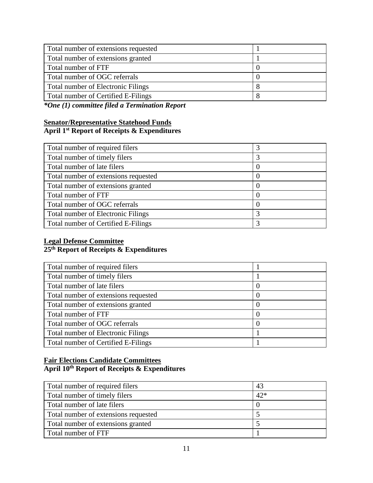| Total number of extensions requested      |  |
|-------------------------------------------|--|
| Total number of extensions granted        |  |
| Total number of FTF                       |  |
| Total number of OGC referrals             |  |
| <b>Total number of Electronic Filings</b> |  |
| Total number of Certified E-Filings       |  |

*\*One (1) committee filed a Termination Report*

# **Senator/Representative Statehood Funds April 1st Report of Receipts & Expenditures**

| Total number of required filers           | 3        |
|-------------------------------------------|----------|
| Total number of timely filers             | 3        |
| Total number of late filers               | O        |
| Total number of extensions requested      | $\theta$ |
| Total number of extensions granted        | $\theta$ |
| Total number of FTF                       | 0        |
| Total number of OGC referrals             | $\left($ |
| <b>Total number of Electronic Filings</b> | 3        |
| Total number of Certified E-Filings       | 3        |

## **Legal Defense Committee 25th Report of Receipts & Expenditures**

| Total number of required filers           |          |
|-------------------------------------------|----------|
| Total number of timely filers             |          |
| Total number of late filers               | $\theta$ |
| Total number of extensions requested      |          |
| Total number of extensions granted        |          |
| Total number of FTF                       |          |
| Total number of OGC referrals             | $\theta$ |
| <b>Total number of Electronic Filings</b> |          |
| Total number of Certified E-Filings       |          |

# **Fair Elections Candidate Committees April 10th Report of Receipts & Expenditures**

| Total number of required filers      | 43    |
|--------------------------------------|-------|
| Total number of timely filers        | $42*$ |
| Total number of late filers          |       |
| Total number of extensions requested |       |
| Total number of extensions granted   |       |
| Total number of FTF                  |       |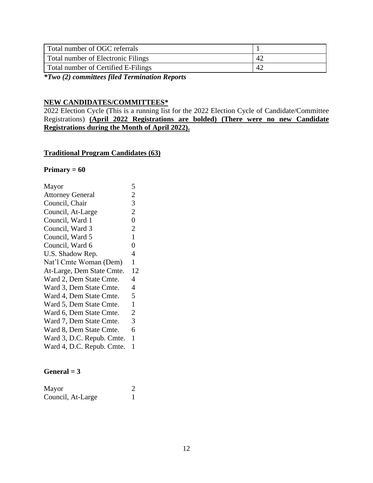| Total number of OGC referrals       |    |
|-------------------------------------|----|
| Total number of Electronic Filings  | 42 |
| Total number of Certified E-Filings | 42 |

*\*Two (2) committees filed Termination Reports*

# **NEW CANDIDATES/COMMITTEES\***

2022 Election Cycle (This is a running list for the 2022 Election Cycle of Candidate/Committee Registrations) **(April 2022 Registrations are bolded) (There were no new Candidate Registrations during the Month of April 2022).**

# **Traditional Program Candidates (63)**

#### **Primary = 60**

| Mayor                     | 5              |
|---------------------------|----------------|
| <b>Attorney General</b>   | $\overline{2}$ |
| Council, Chair            | 3              |
| Council, At-Large         | $\overline{2}$ |
| Council, Ward 1           | $\overline{0}$ |
| Council, Ward 3           | $\overline{2}$ |
| Council, Ward 5           | $\mathbf{1}$   |
| Council, Ward 6           | $\overline{0}$ |
| U.S. Shadow Rep.          | 4              |
| Nat'l Cmte Woman (Dem)    | 1              |
| At-Large, Dem State Cmte. | 12             |
| Ward 2, Dem State Cmte.   | 4              |
| Ward 3, Dem State Cmte.   | 4              |
| Ward 4, Dem State Cmte.   | 5              |
| Ward 5, Dem State Cmte.   | $\mathbf{1}$   |
| Ward 6, Dem State Cmte.   | $\overline{2}$ |
| Ward 7, Dem State Cmte.   | 3              |
| Ward 8, Dem State Cmte.   | 6              |
| Ward 3, D.C. Repub. Cmte. | $\mathbf{1}$   |
| Ward 4, D.C. Repub. Cmte. | 1              |

#### $General = 3$

| Mayor             |  |
|-------------------|--|
| Council, At-Large |  |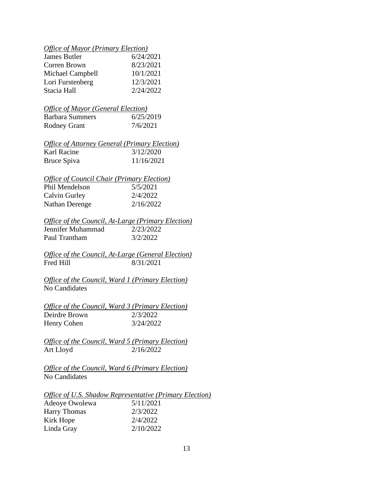|  | <b>Office of Mayor (Primary Election)</b> |
|--|-------------------------------------------|
|  |                                           |

| James Butler     | 6/24/2021 |
|------------------|-----------|
| Corren Brown     | 8/23/2021 |
| Michael Campbell | 10/1/2021 |
| Lori Furstenberg | 12/3/2021 |
| Stacia Hall      | 2/24/2022 |

|                 | <i><b>Office of Mayor (General Election)</b></i> |  |
|-----------------|--------------------------------------------------|--|
| Barbara Summers | 6/25/2019                                        |  |

| <b>Rodney Grant</b> | 7/6/2021 |
|---------------------|----------|
|---------------------|----------|

|             | <b>Office of Attorney General (Primary Election)</b> |
|-------------|------------------------------------------------------|
| Karl Racine | 3/12/2020                                            |
| Bruce Spiva | 11/16/2021                                           |

| <b>Office of Council Chair (Primary Election)</b> |           |
|---------------------------------------------------|-----------|
| Phil Mendelson                                    | 5/5/2021  |
| Calvin Gurley                                     | 2/4/2022  |
| <b>Nathan Derenge</b>                             | 2/16/2022 |

## *Office of the Council, At-Large (Primary Election)* Jennifer Muhammad 2/23/2022 Paul Trantham 3/2/2022

*Office of the Council, At-Large (General Election)*<br>Fred Hill 8/31/2021  $8/31/2021$ 

*Office of the Council, Ward 1 (Primary Election)* No Candidates

|               | Office of the Council, Ward 3 (Primary Election) |
|---------------|--------------------------------------------------|
| Deirdre Brown | 2/3/2022                                         |
| Henry Cohen   | 3/24/2022                                        |

*Office of the Council, Ward 5 (Primary Election)* Art Lloyd 2/16/2022

*Office of the Council, Ward 6 (Primary Election)* No Candidates

|                     | <i>Office of U.S. Shadow Representative (Primary Election)</i> |
|---------------------|----------------------------------------------------------------|
| Adeoye Owolewa      | 5/11/2021                                                      |
| <b>Harry Thomas</b> | 2/3/2022                                                       |
| Kirk Hope           | 2/4/2022                                                       |
| Linda Gray          | 2/10/2022                                                      |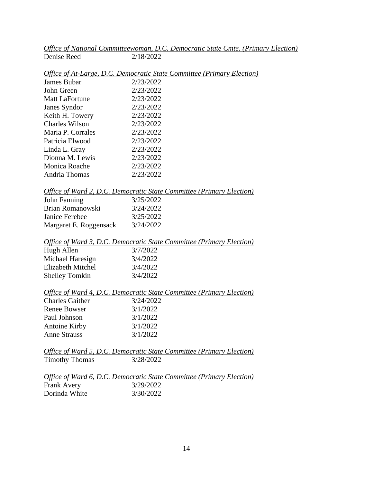|             | Office of National Committeewoman, D.C. Democratic State Cmte. (Primary Election) |  |  |
|-------------|-----------------------------------------------------------------------------------|--|--|
| Denise Reed | 2/18/2022                                                                         |  |  |

| Office of At-Large, D.C. Democratic State Committee (Primary Election) |  |
|------------------------------------------------------------------------|--|
|------------------------------------------------------------------------|--|

| <b>James Bubar</b> | 2/23/2022 |
|--------------------|-----------|
| John Green         | 2/23/2022 |
| Matt LaFortune     | 2/23/2022 |
| Janes Syndor       | 2/23/2022 |
| Keith H. Towery    | 2/23/2022 |
| Charles Wilson     | 2/23/2022 |
| Maria P. Corrales  | 2/23/2022 |
| Patricia Elwood    | 2/23/2022 |
| Linda L. Gray      | 2/23/2022 |
| Dionna M. Lewis    | 2/23/2022 |
| Monica Roache      | 2/23/2022 |
| Andria Thomas      | 2/23/2022 |

|       |  | Office of Ward 2, D.C. Democratic State Committee (Primary Election) |  |
|-------|--|----------------------------------------------------------------------|--|
| - - - |  | $\frac{1}{2}$                                                        |  |

| John Fanning           | 3/25/2022 |
|------------------------|-----------|
| Brian Romanowski       | 3/24/2022 |
| Janice Ferebee         | 3/25/2022 |
| Margaret E. Roggensack | 3/24/2022 |

|                       | Office of Ward 3, D.C. Democratic State Committee (Primary Election) |
|-----------------------|----------------------------------------------------------------------|
| Hugh Allen            | 3/7/2022                                                             |
| Michael Haresign      | 3/4/2022                                                             |
| Elizabeth Mitchel     | 3/4/2022                                                             |
| <b>Shelley Tomkin</b> | 3/4/2022                                                             |

|                        | Office of Ward 4, D.C. Democratic State Committee (Primary Election) |
|------------------------|----------------------------------------------------------------------|
| <b>Charles Gaither</b> | 3/24/2022                                                            |
| Renee Bowser           | 3/1/2022                                                             |
| Paul Johnson           | 3/1/2022                                                             |
| Antoine Kirby          | 3/1/2022                                                             |
| <b>Anne Strauss</b>    | 3/1/2022                                                             |

|                       | Office of Ward 5, D.C. Democratic State Committee (Primary Election) |  |  |
|-----------------------|----------------------------------------------------------------------|--|--|
| <b>Timothy Thomas</b> | 3/28/2022                                                            |  |  |

|                    | Office of Ward 6, D.C. Democratic State Committee (Primary Election) |  |
|--------------------|----------------------------------------------------------------------|--|
| <b>Frank Avery</b> | 3/29/2022                                                            |  |
| Dorinda White      | 3/30/2022                                                            |  |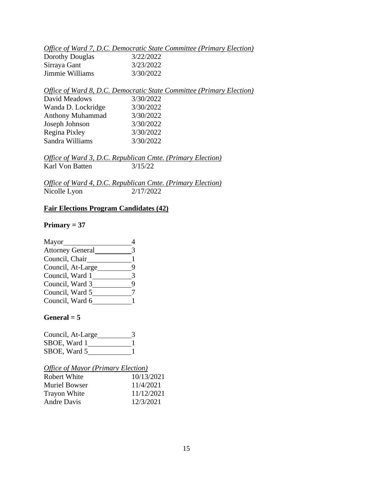|                 | Office of Ward 7, D.C. Democratic State Committee (Primary Election) |  |
|-----------------|----------------------------------------------------------------------|--|
| Dorothy Douglas | 3/22/2022                                                            |  |

| $D$ or our $\mu$ $D$ out $\mu$ and |           |
|------------------------------------|-----------|
| Sirraya Gant                       | 3/23/2022 |
| Jimmie Williams                    | 3/30/2022 |

Sandra Williams 3/30/2022

## *Office of Ward 8, D.C. Democratic State Committee (Primary Election)* David Meadows 3/30/2022 Wanda D. Lockridge 3/30/2022 Anthony Muhammad 3/30/2022 Joseph Johnson 3/30/2022 Regina Pixley 3/30/2022

*Office of Ward 3, D.C. Republican Cmte. (Primary Election)* Karl Von Batten 3/15/22

*Office of Ward 4, D.C. Republican Cmte. (Primary Election)*

Nicolle Lyon 2/17/2022

# **Fair Elections Program Candidates (42)**

# **Primary = 37**

| Mayor                   |   |
|-------------------------|---|
| <b>Attorney General</b> | 3 |
| Council, Chair          |   |
| Council, At-Large       | q |
| Council, Ward 1         |   |
| Council, Ward 3         | q |
| Council, Ward 5         |   |
| Council, Ward 6         |   |

# $General = 5$

| Council, At-Large |  |
|-------------------|--|
| SBOE, Ward 1      |  |
| SBOE, Ward 5      |  |

# *Office of Mayor (Primary Election)*

| <b>Robert White</b>  | 10/13/2021 |
|----------------------|------------|
| <b>Muriel Bowser</b> | 11/4/2021  |
| <b>Trayon White</b>  | 11/12/2021 |
| <b>Andre Davis</b>   | 12/3/2021  |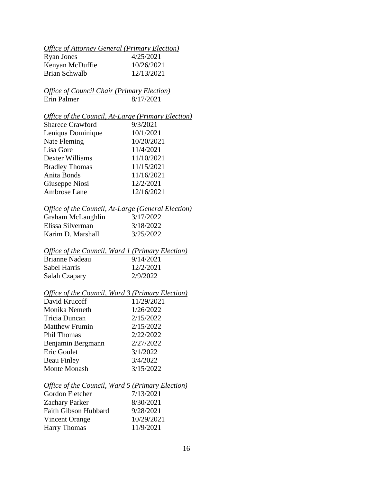# *Office of Attorney General (Primary Election)*

| Ryan Jones      | 4/25/2021  |
|-----------------|------------|
| Kenyan McDuffie | 10/26/2021 |
| Brian Schwalb   | 12/13/2021 |

# *Office of Council Chair (Primary Election)* Erin Palmer 8/17/2021

# *Office of the Council, At-Large (Primary Election)*

| <b>Sharece Crawford</b> | 9/3/2021   |
|-------------------------|------------|
| Leniqua Dominique       | 10/1/2021  |
| Nate Fleming            | 10/20/2021 |
| Lisa Gore               | 11/4/2021  |
| Dexter Williams         | 11/10/2021 |
| <b>Bradley Thomas</b>   | 11/15/2021 |
| Anita Bonds             | 11/16/2021 |
| Giuseppe Niosi          | 12/2/2021  |
| Ambrose Lane            | 12/16/2021 |

# *Office of the Council, At-Large (General Election)*

| Graham McLaughlin | 3/17/2022 |
|-------------------|-----------|
| Elissa Silverman  | 3/18/2022 |
| Karim D. Marshall | 3/25/2022 |

## *Office of the Council, Ward 1 (Primary Election)*

| Brianne Nadeau | 9/14/2021 |
|----------------|-----------|
| Sabel Harris   | 12/2/2021 |
| Salah Czapary  | 2/9/2022  |

# *Office of the Council, Ward 3 (Primary Election)*

| David Krucoff         | 11/29/2021 |
|-----------------------|------------|
| Monika Nemeth         | 1/26/2022  |
| Tricia Duncan         | 2/15/2022  |
| <b>Matthew Frumin</b> | 2/15/2022  |
| <b>Phil Thomas</b>    | 2/22/2022  |
| Benjamin Bergmann     | 2/27/2022  |
| Eric Goulet           | 3/1/2022   |
| <b>Beau Finley</b>    | 3/4/2022   |
| <b>Monte Monash</b>   | 3/15/2022  |
|                       |            |

#### *Office of the Council, Ward 5 (Primary Election)*

| Gordon Fletcher             | 7/13/2021  |
|-----------------------------|------------|
| <b>Zachary Parker</b>       | 8/30/2021  |
| <b>Faith Gibson Hubbard</b> | 9/28/2021  |
| Vincent Orange              | 10/29/2021 |
| <b>Harry Thomas</b>         | 11/9/2021  |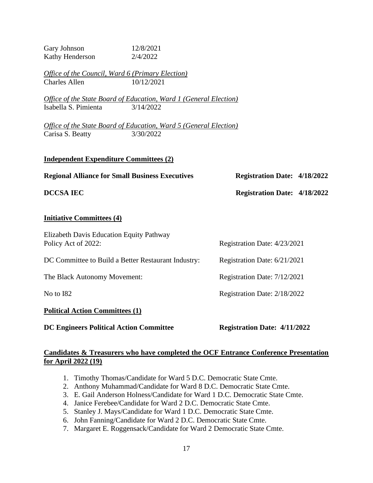| Gary Johnson<br>Kathy Henderson                                                     | 12/8/2021<br>2/4/2022                                                                        |                                     |  |  |
|-------------------------------------------------------------------------------------|----------------------------------------------------------------------------------------------|-------------------------------------|--|--|
| Office of the Council, Ward 6 (Primary Election)<br><b>Charles Allen</b>            | 10/12/2021                                                                                   |                                     |  |  |
| Isabella S. Pimienta                                                                | Office of the State Board of Education, Ward 1 (General Election)<br>3/14/2022               |                                     |  |  |
| Carisa S. Beatty                                                                    | <u><b>Office of the State Board of Education, Ward 5 (General Election)</b></u><br>3/30/2022 |                                     |  |  |
| <b>Independent Expenditure Committees (2)</b>                                       |                                                                                              |                                     |  |  |
| <b>Regional Alliance for Small Business Executives</b>                              |                                                                                              | <b>Registration Date: 4/18/2022</b> |  |  |
| <b>DCCSA IEC</b>                                                                    |                                                                                              | <b>Registration Date: 4/18/2022</b> |  |  |
| <b>Initiative Committees (4)</b>                                                    |                                                                                              |                                     |  |  |
| Elizabeth Davis Education Equity Pathway<br>Policy Act of 2022:                     |                                                                                              | Registration Date: 4/23/2021        |  |  |
| DC Committee to Build a Better Restaurant Industry:<br>Registration Date: 6/21/2021 |                                                                                              |                                     |  |  |
| The Black Autonomy Movement:<br>Registration Date: 7/12/2021                        |                                                                                              |                                     |  |  |
| No to I82<br>Registration Date: 2/18/2022                                           |                                                                                              |                                     |  |  |
| <b>Political Action Committees (1)</b>                                              |                                                                                              |                                     |  |  |
| <b>DC Engineers Political Action Committee</b>                                      |                                                                                              | <b>Registration Date: 4/11/2022</b> |  |  |

# **Candidates & Treasurers who have completed the OCF Entrance Conference Presentation for April 2022 (19)**

- 1. Timothy Thomas/Candidate for Ward 5 D.C. Democratic State Cmte.
- 2. Anthony Muhammad/Candidate for Ward 8 D.C. Democratic State Cmte.
- 3. E. Gail Anderson Holness/Candidate for Ward 1 D.C. Democratic State Cmte.
- 4. Janice Ferebee/Candidate for Ward 2 D.C. Democratic State Cmte.
- 5. Stanley J. Mays/Candidate for Ward 1 D.C. Democratic State Cmte.
- 6. John Fanning/Candidate for Ward 2 D.C. Democratic State Cmte.
- 7. Margaret E. Roggensack/Candidate for Ward 2 Democratic State Cmte.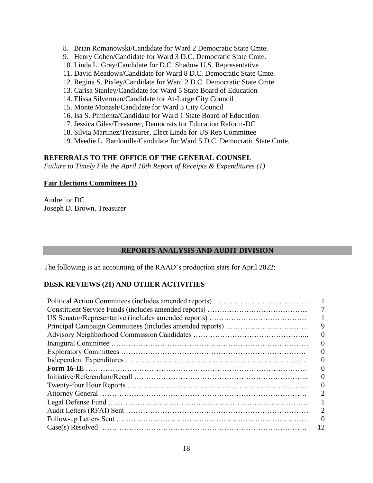- 8. Brian Romanowski/Candidate for Ward 2 Democratic State Cmte.
- 9. Henry Cohen/Candidate for Ward 3 D.C. Democratic State Cmte.
- 10. Linda L. Gray/Candidate for D.C. Shadow U.S. Representative
- 11. David Meadows/Candidate for Ward 8 D.C. Democratic State Cmte.
- 12. Regina S. Pixley/Candidate for Ward 2 D.C. Democratic State Cmte.
- 13. Carisa Stanley/Candidate for Ward 5 State Board of Education
- 14. Elissa Silverman/Candidate for At-Large City Council
- 15. Monte Monash/Candidate for Ward 3 City Council
- 16. Isa S. Pimienta/Candidate for Ward 1 State Board of Education
- 17. Jessica Giles/Treasurer, Democrats for Education Reform-DC
- 18. Silvia Martinez/Treasurer, Elect Linda for US Rep Committee
- 19. Meedie L. Bardonille/Candidate for Ward 5 D.C. Democratic State Cmte.

# **REFERRALS TO THE OFFICE OF THE GENERAL COUNSEL**

*Failure to Timely File the April 10th Report of Receipts & Expenditures (1)*

## **Fair Elections Committees (1)**

Andre for DC Joseph D. Brown, Treasurer

# **REPORTS ANALYSIS AND AUDIT DIVISION**

The following is an accounting of the RAAD's production stats for April 2022:

# **DESK REVIEWS (21) AND OTHER ACTIVITIES**

| 9  |
|----|
|    |
|    |
|    |
|    |
|    |
| 0  |
|    |
|    |
|    |
|    |
|    |
| 12 |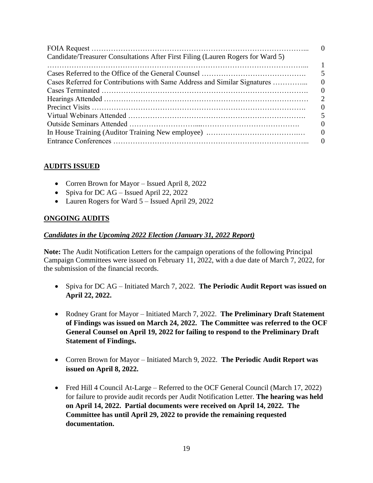| Candidate/Treasurer Consultations After First Filing (Lauren Rogers for Ward 5) |                          |
|---------------------------------------------------------------------------------|--------------------------|
|                                                                                 |                          |
|                                                                                 |                          |
| Cases Referred for Contributions with Same Address and Similar Signatures       | $\Omega$                 |
|                                                                                 | $\theta$                 |
|                                                                                 |                          |
|                                                                                 | $\theta$                 |
|                                                                                 | $\overline{\mathcal{L}}$ |
|                                                                                 | $\Omega$                 |
|                                                                                 |                          |
|                                                                                 |                          |

# **AUDITS ISSUED**

- Corren Brown for Mayor Issued April 8, 2022
- Spiva for DC AG Issued April 22, 2022
- Lauren Rogers for Ward 5 Issued April 29, 2022

## **ONGOING AUDITS**

#### *Candidates in the Upcoming 2022 Election (January 31, 2022 Report)*

**Note:** The Audit Notification Letters for the campaign operations of the following Principal Campaign Committees were issued on February 11, 2022, with a due date of March 7, 2022, for the submission of the financial records.

- Spiva for DC AG Initiated March 7, 2022. **The Periodic Audit Report was issued on April 22, 2022.**
- Rodney Grant for Mayor Initiated March 7, 2022. **The Preliminary Draft Statement of Findings was issued on March 24, 2022. The Committee was referred to the OCF General Counsel on April 19, 2022 for failing to respond to the Preliminary Draft Statement of Findings.**
- Corren Brown for Mayor Initiated March 9, 2022. **The Periodic Audit Report was issued on April 8, 2022.**
- Fred Hill 4 Council At-Large Referred to the OCF General Council (March 17, 2022) for failure to provide audit records per Audit Notification Letter. **The hearing was held on April 14, 2022. Partial documents were received on April 14, 2022. The Committee has until April 29, 2022 to provide the remaining requested documentation.**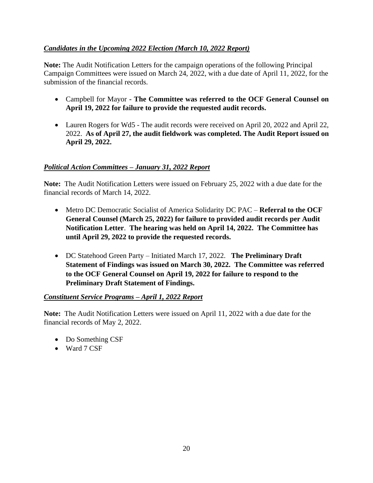# *Candidates in the Upcoming 2022 Election (March 10, 2022 Report)*

**Note:** The Audit Notification Letters for the campaign operations of the following Principal Campaign Committees were issued on March 24, 2022, with a due date of April 11, 2022, for the submission of the financial records.

- Campbell for Mayor **- The Committee was referred to the OCF General Counsel on April 19, 2022 for failure to provide the requested audit records.**
- Lauren Rogers for Wd5 The audit records were received on April 20, 2022 and April 22, 2022. **As of April 27, the audit fieldwork was completed. The Audit Report issued on April 29, 2022.**

# *Political Action Committees – January 31, 2022 Report*

**Note:** The Audit Notification Letters were issued on February 25, 2022 with a due date for the financial records of March 14, 2022.

- Metro DC Democratic Socialist of America Solidarity DC PAC **Referral to the OCF General Counsel (March 25, 2022) for failure to provided audit records per Audit Notification Letter**. **The hearing was held on April 14, 2022. The Committee has until April 29, 2022 to provide the requested records.**
- DC Statehood Green Party Initiated March 17, 2022. **The Preliminary Draft Statement of Findings was issued on March 30, 2022. The Committee was referred to the OCF General Counsel on April 19, 2022 for failure to respond to the Preliminary Draft Statement of Findings.**

# *Constituent Service Programs – April 1, 2022 Report*

**Note:** The Audit Notification Letters were issued on April 11, 2022 with a due date for the financial records of May 2, 2022.

- Do Something CSF
- Ward 7 CSF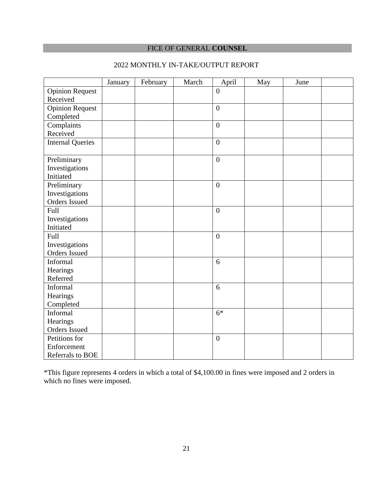# FICE OF GENERAL **COUNSEL**

|  | 2022 MONTHLY IN-TAKE/OUTPUT REPORT |
|--|------------------------------------|
|  |                                    |

|                         | January | February | March | April            | May | June |  |
|-------------------------|---------|----------|-------|------------------|-----|------|--|
| <b>Opinion Request</b>  |         |          |       | $\overline{0}$   |     |      |  |
| Received                |         |          |       |                  |     |      |  |
| <b>Opinion Request</b>  |         |          |       | $\boldsymbol{0}$ |     |      |  |
| Completed               |         |          |       |                  |     |      |  |
| Complaints              |         |          |       | $\overline{0}$   |     |      |  |
| Received                |         |          |       |                  |     |      |  |
| <b>Internal Queries</b> |         |          |       | $\boldsymbol{0}$ |     |      |  |
|                         |         |          |       |                  |     |      |  |
| Preliminary             |         |          |       | $\overline{0}$   |     |      |  |
| Investigations          |         |          |       |                  |     |      |  |
| Initiated               |         |          |       |                  |     |      |  |
| Preliminary             |         |          |       | $\overline{0}$   |     |      |  |
| Investigations          |         |          |       |                  |     |      |  |
| Orders Issued           |         |          |       |                  |     |      |  |
| Full                    |         |          |       | $\boldsymbol{0}$ |     |      |  |
| Investigations          |         |          |       |                  |     |      |  |
| Initiated               |         |          |       |                  |     |      |  |
| Full                    |         |          |       | $\boldsymbol{0}$ |     |      |  |
| Investigations          |         |          |       |                  |     |      |  |
| Orders Issued           |         |          |       |                  |     |      |  |
| Informal                |         |          |       | 6                |     |      |  |
| Hearings                |         |          |       |                  |     |      |  |
| Referred                |         |          |       |                  |     |      |  |
| Informal                |         |          |       | 6                |     |      |  |
| Hearings                |         |          |       |                  |     |      |  |
| Completed               |         |          |       |                  |     |      |  |
| Informal                |         |          |       | $6*$             |     |      |  |
| Hearings                |         |          |       |                  |     |      |  |
| <b>Orders</b> Issued    |         |          |       |                  |     |      |  |
| Petitions for           |         |          |       | $\boldsymbol{0}$ |     |      |  |
| Enforcement             |         |          |       |                  |     |      |  |
| Referrals to BOE        |         |          |       |                  |     |      |  |

\*This figure represents 4 orders in which a total of \$4,100.00 in fines were imposed and 2 orders in which no fines were imposed.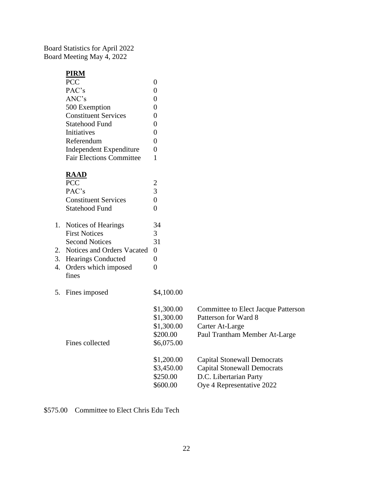Board Statistics for April 2022 Board Meeting May 4, 2022

## **PIRM**

| <b>PCC</b>                      |   |
|---------------------------------|---|
| PAC's                           |   |
| ANC's                           | 0 |
| 500 Exemption                   | 0 |
| <b>Constituent Services</b>     | 0 |
| <b>Statehood Fund</b>           | 0 |
| Initiatives                     | 0 |
| Referendum                      | 0 |
| <b>Independent Expenditure</b>  | 0 |
| <b>Fair Elections Committee</b> |   |

# **RAAD**

| <b>PCC</b>                    | $\overline{2}$                                                                          |
|-------------------------------|-----------------------------------------------------------------------------------------|
| PAC's                         | 3                                                                                       |
| <b>Constituent Services</b>   | 0                                                                                       |
| <b>Statehood Fund</b>         | $\overline{0}$                                                                          |
|                               | 34                                                                                      |
| <b>First Notices</b>          | 3                                                                                       |
| <b>Second Notices</b>         | 31                                                                                      |
|                               | 0                                                                                       |
| <b>Hearings Conducted</b>     | 0                                                                                       |
| Orders which imposed<br>fines | $\theta$                                                                                |
|                               | \$4,100.00                                                                              |
|                               | \$1,300.00                                                                              |
|                               | \$1,300.00                                                                              |
|                               | \$1,300.00                                                                              |
|                               | \$200.00                                                                                |
| Fines collected               | \$6,075.00                                                                              |
|                               | 1. Notices of Hearings<br>2. Notices and Orders Vacated<br>3.<br>4.<br>5. Fines imposed |

| \$1,300.00 | <b>Committee to Elect Jacque Patterson</b> |
|------------|--------------------------------------------|
| \$1,300.00 | Patterson for Ward 8                       |
| \$1,300.00 | Carter At-Large                            |
| \$200.00   | Paul Trantham Member At-Large              |
| \$6,075.00 |                                            |
| \$1,200.00 | <b>Capital Stonewall Democrats</b>         |
| \$3,450.00 | <b>Capital Stonewall Democrats</b>         |
| \$250.00   | D.C. Libertarian Party                     |
| \$600.00   | Oye 4 Representative 2022                  |
|            |                                            |

\$575.00 Committee to Elect Chris Edu Tech